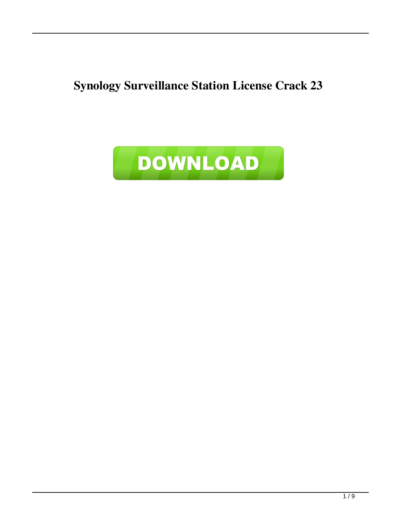**Synology Surveillance Station License Crack 23**

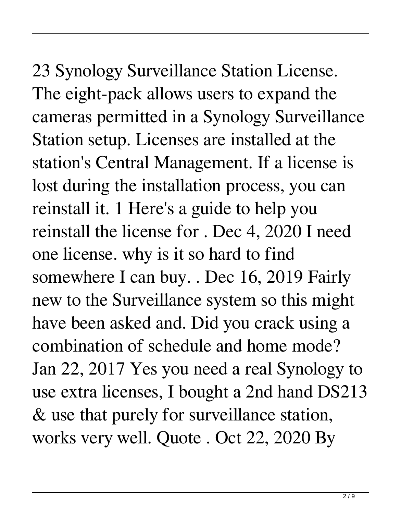23 Synology Surveillance Station License. The eight-pack allows users to expand the cameras permitted in a Synology Surveillance Station setup. Licenses are installed at the station's Central Management. If a license is lost during the installation process, you can reinstall it. 1 Here's a guide to help you reinstall the license for . Dec 4, 2020 I need one license. why is it so hard to find somewhere I can buy. . Dec 16, 2019 Fairly new to the Surveillance system so this might have been asked and. Did you crack using a combination of schedule and home mode? Jan 22, 2017 Yes you need a real Synology to use extra licenses, I bought a 2nd hand DS213 & use that purely for surveillance station, works very well. Quote . Oct 22, 2020 By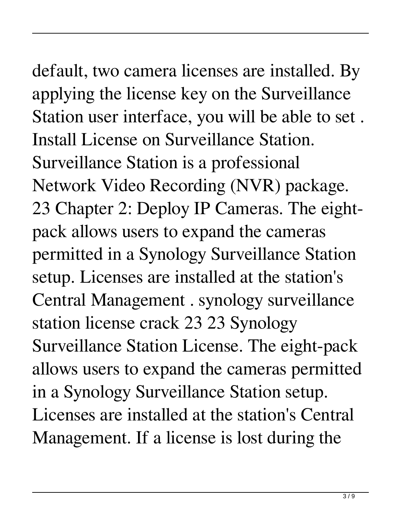## default, two camera licenses are installed. By applying the license key on the Surveillance

Station user interface, you will be able to set . Install License on Surveillance Station. Surveillance Station is a professional Network Video Recording (NVR) package. 23 Chapter 2: Deploy IP Cameras. The eightpack allows users to expand the cameras permitted in a Synology Surveillance Station setup. Licenses are installed at the station's Central Management . synology surveillance station license crack 23 23 Synology Surveillance Station License. The eight-pack allows users to expand the cameras permitted in a Synology Surveillance Station setup. Licenses are installed at the station's Central Management. If a license is lost during the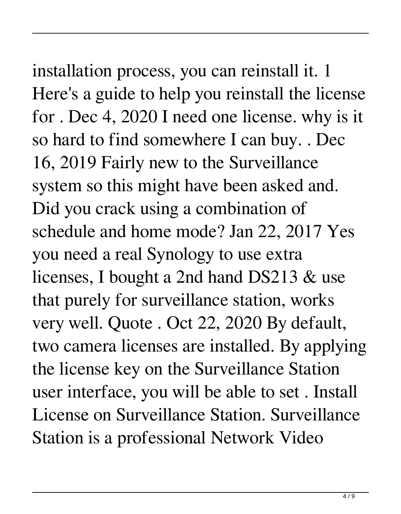#### installation process, you can reinstall it. 1 Here's a guide to help you reinstall the license for . Dec 4, 2020 I need one license. why is it so hard to find somewhere I can buy. . Dec

16, 2019 Fairly new to the Surveillance system so this might have been asked and. Did you crack using a combination of schedule and home mode? Jan 22, 2017 Yes you need a real Synology to use extra licenses, I bought a 2nd hand DS213 & use that purely for surveillance station, works very well. Quote . Oct 22, 2020 By default, two camera licenses are installed. By applying the license key on the Surveillance Station user interface, you will be able to set . Install License on Surveillance Station. Surveillance Station is a professional Network Video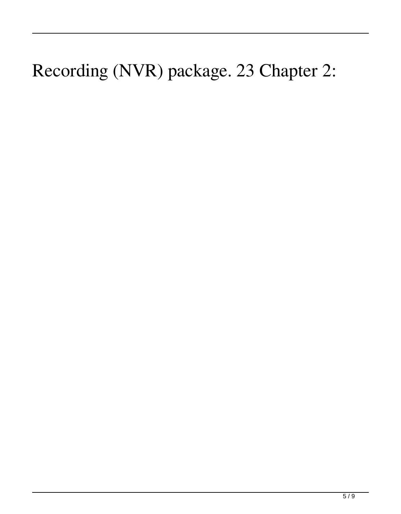#### Recording (NVR) package. 23 Chapter 2: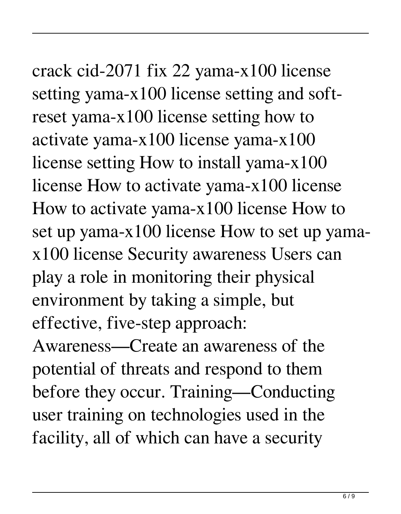### crack cid-2071 fix 22 yama-x100 license setting yama-x100 license setting and softreset yama-x100 license setting how to

activate yama-x100 license yama-x100 license setting How to install yama-x100 license How to activate yama-x100 license How to activate yama-x100 license How to set up yama-x100 license How to set up yamax100 license Security awareness Users can play a role in monitoring their physical environment by taking a simple, but effective, five-step approach:

Awareness—Create an awareness of the potential of threats and respond to them before they occur. Training—Conducting user training on technologies used in the facility, all of which can have a security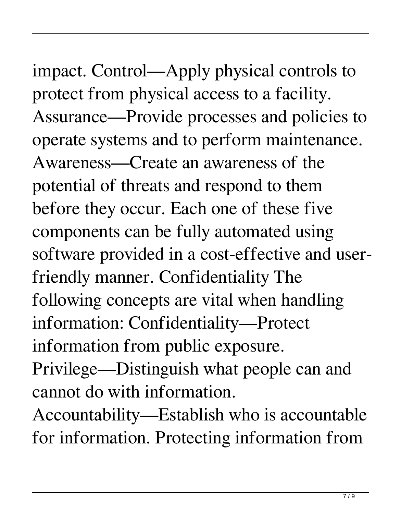### impact. Control—Apply physical controls to protect from physical access to a facility.

Assurance—Provide processes and policies to operate systems and to perform maintenance. Awareness—Create an awareness of the potential of threats and respond to them before they occur. Each one of these five components can be fully automated using software provided in a cost-effective and userfriendly manner. Confidentiality The following concepts are vital when handling information: Confidentiality—Protect information from public exposure.

Privilege—Distinguish what people can and cannot do with information.

Accountability—Establish who is accountable for information. Protecting information from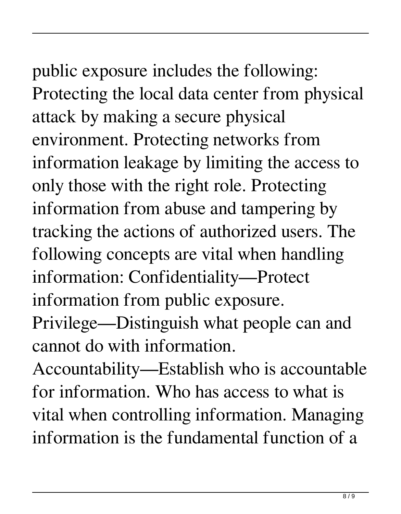# public exposure includes the following: Protecting the local data center from physical

attack by making a secure physical environment. Protecting networks from information leakage by limiting the access to only those with the right role. Protecting information from abuse and tampering by tracking the actions of authorized users. The following concepts are vital when handling information: Confidentiality—Protect information from public exposure.

Privilege—Distinguish what people can and cannot do with information.

Accountability—Establish who is accountable for information. Who has access to what is vital when controlling information. Managing information is the fundamental function of a